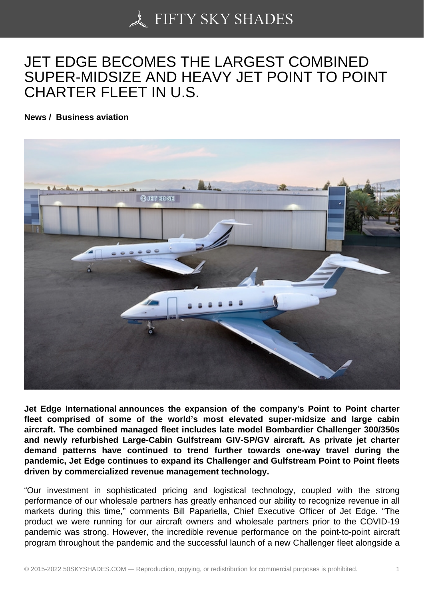## [JET EDGE BECOMES](https://50skyshades.com) THE LARGEST COMBINED SUPER-MIDSIZE AND HEAVY JET POINT TO POINT CHARTER FLEET IN U.S.

News / Business aviation

Jet Edge International announces the expansion of the company's Point to Point charter fleet comprised of some of the world's most elevated super-midsize and large cabin aircraft. The combined managed fleet includes late model Bombardier Challenger 300/350s and newly refurbished Large-Cabin Gulfstream GIV-SP/GV aircraft. As private jet charter demand patterns have continued to trend further towards one-way travel during the pandemic, Jet Edge continues to expand its Challenger and Gulfstream Point to Point fleets driven by commercialized revenue management technology.

"Our investment in sophisticated pricing and logistical technology, coupled with the strong performance of our wholesale partners has greatly enhanced our ability to recognize revenue in all markets during this time," comments Bill Papariella, Chief Executive Officer of Jet Edge. "The product we were running for our aircraft owners and wholesale partners prior to the COVID-19 pandemic was strong. However, the incredible revenue performance on the point-to-point aircraft program throughout the pandemic and the successful launch of a new Challenger fleet alongside a